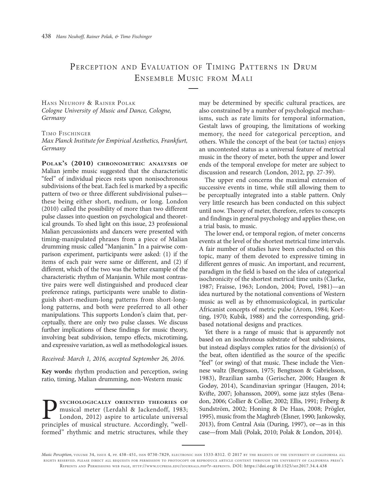# PERCEPTION AND EVALUATION OF TIMING PATTERNS IN DRUM ENSEMBLE MUSIC FROM MALI

HANS NEUHOFF & RAINER POLAK Cologne University of Music and Dance, Cologne, Germany

TIMO FISCHINGER

Max Planck Institute for Empirical Aesthetics, Frankfurt, Germany

POLAK'S (2010) CHRONOMETRIC ANALYSES OF Malian jembe music suggested that the characteristic "feel" of individual pieces rests upon nonisochronous subdivisions of the beat. Each feel is marked by a specific pattern of two or three different subdivisional pulses these being either short, medium, or long. London (2010) called the possibility of more than two different pulse classes into question on psychological and theoretical grounds. To shed light on this issue, 23 professional Malian percussionists and dancers were presented with timing-manipulated phrases from a piece of Malian drumming music called ''Manjanin.'' In a pairwise comparison experiment, participants were asked: (1) if the items of each pair were same or different, and (2) if different, which of the two was the better example of the characteristic rhythm of Manjanin. While most contrastive pairs were well distinguished and produced clear preference ratings, participants were unable to distinguish short-medium-long patterns from short-longlong patterns, and both were preferred to all other manipulations. This supports London's claim that, perceptually, there are only two pulse classes. We discuss further implications of these findings for music theory, involving beat subdivision, tempo effects, microtiming, and expressive variation, as well as methodological issues.

# Received: March 1, 2016, accepted September 26, 2016.

Key words: rhythm production and perception, swing ratio, timing, Malian drumming, non-Western music

**P**SYCHOLOGICALLY ORIENTED THEORIES OF musical meter (Lerdahl & Jackendoff, 1983; London, 2012) aspire to articulate universal principles of musical structure. Accordingly, "wellmusical meter (Lerdahl & Jackendoff, 1983; London, 2012) aspire to articulate universal formed'' rhythmic and metric structures, while they

may be determined by specific cultural practices, are also constrained by a number of psychological mechanisms, such as rate limits for temporal information, Gestalt laws of grouping, the limitations of working memory, the need for categorical perception, and others. While the concept of the beat (or tactus) enjoys an uncontested status as a universal feature of metrical music in the theory of meter, both the upper and lower ends of the temporal envelope for meter are subject to discussion and research (London, 2012, pp. 27-39).

The upper end concerns the maximal extension of successive events in time, while still allowing them to be perceptually integrated into a stable pattern. Only very little research has been conducted on this subject until now. Theory of meter, therefore, refers to concepts and findings in general psychology and applies these, on a trial basis, to music.

The lower end, or temporal region, of meter concerns events at the level of the shortest metrical time intervals. A fair number of studies have been conducted on this topic, many of them devoted to expressive timing in different genres of music. An important, and recurrent, paradigm in the field is based on the idea of categorical isochronicity of the shortest metrical time units (Clarke, 1987; Fraisse, 1963; London, 2004; Povel, 1981)—an idea nurtured by the notational conventions of Western music as well as by ethnomusicological, in particular Africanist concepts of metric pulse (Arom, 1984; Koetting, 1970; Kubik, 1988) and the corresponding, gridbased notational designs and practices.

Yet there is a range of music that is apparently not based on an isochronous substrate of beat subdivisions, but instead displays complex ratios for the division(s) of the beat, often identified as the source of the specific "feel" (or swing) of that music. These include the Viennese waltz (Bengtsson, 1975; Bengtsson & Gabrielsson, 1983), Brazilian samba (Gerischer, 2006; Haugen & Godøy, 2014), Scandinavian springar (Haugen, 2014; Kvifte, 2007; Johansson, 2009), some jazz styles (Benadon, 2006; Collier & Collier, 2002; Ellis, 1991; Friberg & Sundström, 2002; Honing & De Haas, 2008; Prögler, 1995), music from the Maghreb (Elsner, 1990; Jankowsky, 2013), from Central Asia (During, 1997), or—as in this case—from Mali (Polak, 2010; Polak & London, 2014).

Music Perception, VOLUME 34, ISSUE 4, PP. 438-451, ISSN 0730-7829, ELECTRONIC ISSN 1533-8312. @ 2017 BY THE REGENTS OF THE UNIVERSITY OF CALIFORNIA ALL RIGHTS RESERVED. PLEASE DIRECT ALL REQUESTS FOR PERMISSION TO PHOTOCOPY OR REPRODUCE ARTICLE CONTENT THROUGH THE UNIVERSITY OF CALIFORNIA PRESS'S REPRINTS AND PERMISSIONS WEB PAGE, HTTP://WWW.UCPRESS.EDU/JOURNALS.PHP?P=REPRINTS. [DOI: https://doi.org/10.1525/MP.2017.34.4.438](https://doi.org/10.1525/mp.2017.34.4.438)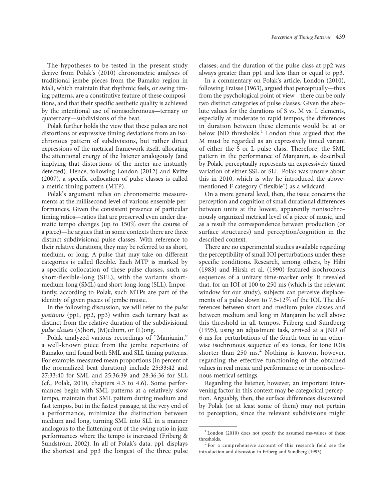The hypotheses to be tested in the present study derive from Polak's (2010) chronometric analyses of traditional jembe pieces from the Bamako region in Mali, which maintain that rhythmic feels, or swing timing patterns, are a constitutive feature of these compositions, and that their specific aesthetic quality is achieved by the intentional use of nonisochronous—ternary or quaternary—subdivisions of the beat.

Polak further holds the view that these pulses are not distortions or expressive timing deviations from an isochronous pattern of subdivisions, but rather direct expressions of the metrical framework itself, allocating the attentional energy of the listener analogously (and implying that distortions of the meter are instantly detected). Hence, following London (2012) and Kvifte (2007), a specific collocation of pulse classes is called a metric timing pattern (MTP).

Polak's argument relies on chronometric measurements at the millisecond level of various ensemble performances. Given the consistent presence of particular timing ratios—ratios that are preserved even under dramatic tempo changes (up to 150% over the course of a piece)—he argues that in some contexts there are three distinct subdivisional pulse classes. With reference to their relative durations, they may be referred to as short, medium, or long. A pulse that may take on different categories is called flexible. Each MTP is marked by a specific collocation of these pulse classes, such as short-flexible-long (SFL), with the variants shortmedium-long (SML) and short-long-long (SLL). Importantly, according to Polak, such MTPs are part of the identity of given pieces of jembe music.

In the following discussion, we will refer to the pulse positions (pp1, pp2, pp3) within each ternary beat as distinct from the relative duration of the subdivisional pulse classes (S)hort, (M)edium, or (L)ong.

Polak analyzed various recordings of ''Manjanin,'' a well-known piece from the jembe repertoire of Bamako, and found both SML and SLL timing patterns. For example, measured mean proportions (in percent of the normalized beat duration) include 25:33:42 and 27:33:40 for SML and 25:36:39 and 28:36:36 for SLL (cf., Polak, 2010, chapters 4.3 to 4.6). Some performances begin with SML patterns at a relatively slow tempo, maintain that SML pattern during medium and fast tempos, but in the fastest passage, at the very end of a performance, minimize the distinction between medium and long, turning SML into SLL in a manner analogous to the flattening out of the swing ratio in jazz performances where the tempo is increased (Friberg & Sundström, 2002). In all of Polak's data, pp1 displays the shortest and pp3 the longest of the three pulse

classes; and the duration of the pulse class at pp2 was always greater than pp1 and less than or equal to pp3.

In a commentary on Polak's article, London (2010), following Fraisse (1963), argued that perceptually—thus from the psychological point of view—there can be only two distinct categories of pulse classes. Given the absolute values for the durations of S vs. M vs. L elements, especially at moderate to rapid tempos, the differences in duration between these elements would be at or below JND thresholds.<sup>1</sup> London thus argued that the M must be regarded as an expressively timed variant of either the S or L pulse class. Therefore, the SML pattern in the performance of Manjanin, as described by Polak, perceptually represents an expressively timed variation of either SSL or SLL. Polak was unsure about this in 2010, which is why he introduced the abovementioned F category ("flexible") as a wildcard.

On a more general level, then, the issue concerns the perception and cognition of small durational differences between units at the lowest, apparently nonisochronously organized metrical level of a piece of music, and as a result the correspondence between production (or surface structures) and perception/cognition in the described context.

There are no experimental studies available regarding the perceptibility of small IOI perturbations under these specific conditions. Research, among others, by Hibi (1983) and Hirsh et al. (1990) featured isochronous sequences of a unitary time-marker only. It revealed that, for an IOI of 100 to 250 ms (which is the relevant window for our study), subjects can perceive displacements of a pulse down to 7.5-12% of the IOI. The differences between short and medium pulse classes and between medium and long in Manjanin lie well above this threshold in all tempos. Friberg and Sundberg (1995), using an adjustment task, arrived at a JND of 6 ms for perturbations of the fourth tone in an otherwise isochronous sequence of six tones, for tone IOIs shorter than  $250 \text{ ms}^2$ . Nothing is known, however, regarding the effective functioning of the obtained values in real music and performance or in nonisochronous metrical settings.

Regarding the listener, however, an important intervening factor in this context may be categorical perception. Arguably, then, the surface differences discovered by Polak (or at least some of them) may not pertain to perception, since the relevant subdivisions might

 $1$  London (2010) does not specify the assumed ms-values of these thresholds.<br> $2^2$  For a comprehensive account of this research field see the

introduction and discussion in Friberg and Sundberg (1995).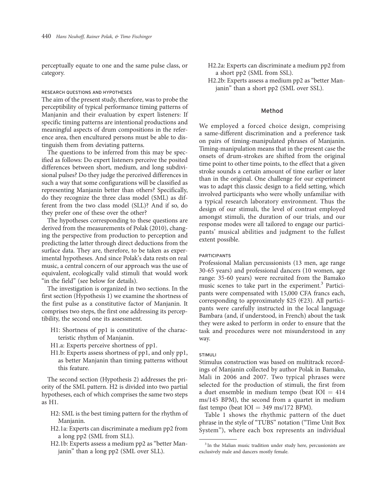perceptually equate to one and the same pulse class, or category.

#### RESEARCH QUESTIONS AND HYPOTHESES

The aim of the present study, therefore, was to probe the perceptibility of typical performance timing patterns of Manjanin and their evaluation by expert listeners: If specific timing patterns are intentional productions and meaningful aspects of drum compositions in the reference area, then encultured persons must be able to distinguish them from deviating patterns.

The questions to be inferred from this may be specified as follows: Do expert listeners perceive the posited differences between short, medium, and long subdivisional pulses? Do they judge the perceived differences in such a way that some configurations will be classified as representing Manjanin better than others? Specifically, do they recognize the three class model (SML) as different from the two class model (SLL)? And if so, do they prefer one of these over the other?

The hypotheses corresponding to these questions are derived from the measurements of Polak (2010), changing the perspective from production to perception and predicting the latter through direct deductions from the surface data. They are, therefore, to be taken as experimental hypotheses. And since Polak's data rests on real music, a central concern of our approach was the use of equivalent, ecologically valid stimuli that would work "in the field" (see below for details).

The investigation is organized in two sections. In the first section (Hypothesis 1) we examine the shortness of the first pulse as a constitutive factor of Manjanin. It comprises two steps, the first one addressing its perceptibility, the second one its assessment.

- H1: Shortness of pp1 is constitutive of the characteristic rhythm of Manjanin.
- H1.a: Experts perceive shortness of pp1.
- H1.b: Experts assess shortness of pp1, and only pp1, as better Manjanin than timing patterns without this feature.

The second section (Hypothesis 2) addresses the priority of the SML pattern. H2 is divided into two partial hypotheses, each of which comprises the same two steps as H1.

- H2: SML is the best timing pattern for the rhythm of Manjanin.
- H2.1a: Experts can discriminate a medium pp2 from a long pp2 (SML from SLL).
- H2.1b: Experts assess a medium pp2 as "better Manjanin'' than a long pp2 (SML over SLL).
- H2.2a: Experts can discriminate a medium pp2 from a short pp2 (SML from SSL).
- H2.2b: Experts assess a medium pp2 as "better Manjanin'' than a short pp2 (SML over SSL).

# Method

We employed a forced choice design, comprising a same-different discrimination and a preference task on pairs of timing-manipulated phrases of Manjanin. Timing-manipulation means that in the present case the onsets of drum-strokes are shifted from the original time point to other time points, to the effect that a given stroke sounds a certain amount of time earlier or later than in the original. One challenge for our experiment was to adapt this classic design to a field setting, which involved participants who were wholly unfamiliar with a typical research laboratory environment. Thus the design of our stimuli, the level of contrast employed amongst stimuli, the duration of our trials, and our response modes were all tailored to engage our participants' musical abilities and judgment to the fullest extent possible.

#### PARTICIPANTS

Professional Malian percussionists (13 men, age range 30-65 years) and professional dancers (10 women, age range: 35-60 years) were recruited from the Bamako music scenes to take part in the experiment.<sup>3</sup> Participants were compensated with 15,000 CFA francs each, corresponding to approximately \$25 ( $\epsilon$ 23). All participants were carefully instructed in the local language Bambara (and, if understood, in French) about the task they were asked to perform in order to ensure that the task and procedures were not misunderstood in any way.

#### STIMULI

Stimulus construction was based on multitrack recordings of Manjanin collected by author Polak in Bamako, Mali in 2006 and 2007. Two typical phrases were selected for the production of stimuli, the first from a duet ensemble in medium tempo (beat  $IOI = 414$ ms/145 BPM), the second from a quartet in medium fast tempo (beat  $IOI = 349$  ms/172 BPM).

Table 1 shows the rhythmic pattern of the duet phrase in the style of ''TUBS'' notation (''Time Unit Box System''), where each box represents an individual

<sup>&</sup>lt;sup>3</sup> In the Malian music tradition under study here, percussionists are exclusively male and dancers mostly female.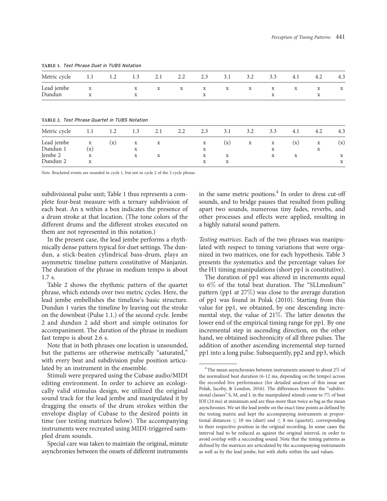| Metric cycle | 1.1 | 1.2 | 1.3       | 2.1          | 2.2 | 2.3       | 3.1 | 3.2          | 3.3 | 4.1 | 4.2 | 4.3          |
|--------------|-----|-----|-----------|--------------|-----|-----------|-----|--------------|-----|-----|-----|--------------|
| Lead jembe   | X   |     |           | $\mathbf{X}$ | Х   | X         | X   | $\mathbf{X}$ | X   | X   | X   | $\mathbf{X}$ |
| Dundun       |     |     | $\Lambda$ |              |     | $\Lambda$ |     |              |     |     | X   |              |

TABLE 1. Test Phrase Duet in TUBS Notation

TABLE 2. Test Phrase Quartet in TUBS Notation

| TABLE 2. Test Prifase Quartet in TUBS Notation |                |     |     |     |     |     |                          |     |     |                |     |     |
|------------------------------------------------|----------------|-----|-----|-----|-----|-----|--------------------------|-----|-----|----------------|-----|-----|
| Metric cycle                                   | 1.1            | 1.2 | 1.3 | 2.1 | 2.2 | 2.3 | 3.1                      | 3.2 | 3.3 | 4.1            | 4.2 | 4.3 |
| Lead jembe                                     | X              | (X) | х   | X   |     | X   | $\lceil \text{X} \rceil$ | X   | X   | $(\mathbf{x})$ | X   | (x) |
| Dundun 1                                       | $(\mathrm{x})$ |     | X   |     |     | X   |                          |     |     |                | X   |     |
| Jembe 2                                        | X              |     | X   | X   |     | X   | X                        |     | х   |                |     | X   |
| Dundun 2                                       | X              |     |     |     |     | X   |                          |     |     |                |     | X   |

Note. Bracketed events are sounded in cycle 1, but not in cycle 2 of the 2-cycle phrase.

subdivisional pulse unit; Table 1 thus represents a complete four-beat measure with a ternary subdivision of each beat. An x within a box indicates the presence of a drum stroke at that location. (The tone colors of the different drums and the different strokes executed on them are not represented in this notation.)

In the present case, the lead jembe performs a rhythmically dense pattern typical for duet settings. The dundun, a stick-beaten cylindrical bass-drum, plays an asymmetric timeline pattern constitutive of Manjanin. The duration of the phrase in medium tempo is about 1.7 s.

Table 2 shows the rhythmic pattern of the quartet phrase, which extends over two metric cycles. Here, the lead jembe embellishes the timeline's basic structure. Dundun 1 varies the timeline by leaving out the stroke on the downbeat (Pulse 1.1.) of the second cycle. Jembe 2 and dundun 2 add short and simple ostinatos for accompaniment. The duration of the phrase in medium fast tempo is about 2.6 s.

Note that in both phrases one location is unsounded, but the patterns are otherwise metrically "saturated," with every beat and subdivision pulse position articulated by an instrument in the ensemble.

Stimuli were prepared using the Cubase audio/MIDI editing environment. In order to achieve an ecologically valid stimulus design, we utilized the original sound track for the lead jembe and manipulated it by dragging the onsets of the drum strokes within the envelope display of Cubase to the desired points in time (see testing matrices below). The accompanying instruments were recreated using MIDI-triggered sampled drum sounds.

Special care was taken to maintain the original, minute asynchronies between the onsets of different instruments in the same metric positions.<sup>4</sup> In order to dress cut-off sounds, and to bridge pauses that resulted from pulling apart two sounds, numerous tiny fades, reverbs, and other processes and effects were applied, resulting in a highly natural sound pattern.

Testing matrices. Each of the two phrases was manipulated with respect to timing variations that were organized in two matrices, one for each hypothesis. Table 3 presents the systematics and the percentage values for the H1 timing manipulations (short pp1 is constitutive).

The duration of pp1 was altered in increments equal to 6% of the total beat duration. The ''SLLmedium'' pattern (pp1 at 27%) was close to the average duration of pp1 was found in Polak (2010). Starting from this value for pp1, we obtained, by one descending incremental step, the value of 21%. The latter denotes the lower end of the empirical timing range for pp1. By one incremental step in ascending direction, on the other hand, we obtained isochronicity of all three pulses. The addition of another ascending incremental step turned pp1 into a long pulse. Subsequently, pp2 and pp3, which

 $^4$  The mean asynchronies between instruments amount to about  $2\%$  of the normalized beat duration (6-12 ms, depending on the tempo) across the recorded live performance (for detailed analyses of this issue see Polak, Jacoby, & London, 2016). The differences between the "subdivisional classes'' S, M, and L in the manipulated stimuli come to 7% of beat IOI (24 ms) at minimum and are thus more than twice as big as the mean asynchronies. We set the lead jembe on the exact time points as defined by the testing matrix and kept the accompanying instruments at proportional distances  $\leq 10$  ms (duet) and  $\leq 8$  ms (quartet), corresponding to their respective position in the original recording. In some cases the interval had to be reduced as against the original interval, in order to avoid overlap with a succeeding sound. Note that the timing patterns as defined by the matrices are articulated by the accompanying instruments as well as by the lead jembe, but with shifts within the said values.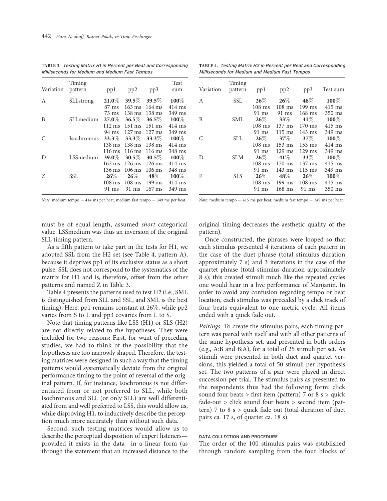| Variation | Timing<br>pattern | pp1              | pp2              | pp3              | <b>Test</b><br>sum |
|-----------|-------------------|------------------|------------------|------------------|--------------------|
| A         | SLLstrong         | $21.0\%$         | $39.5\%$         | $39.5\%$         | $100\%$            |
|           |                   | 87 ms            | $163 \text{ ms}$ | $164 \text{ ms}$ | 414 ms             |
|           |                   | 73 ms            | $138 \text{ ms}$ | $138 \text{ ms}$ | 349 ms             |
| B         | SLLmedium         | $27.0\%$         | $36.5\%$         | $36.5\%$         | $100\%$            |
|           |                   | $112 \text{ ms}$ | $151 \text{ ms}$ | $151 \text{ ms}$ | 414 ms             |
|           |                   | 94 ms            | $127 \text{ ms}$ | $127 \text{ ms}$ | 349 ms             |
| C         | Isochronous       | $33.3\%$         | $33.3\%$         | $33.3\%$         | $100\%$            |
|           |                   | $138$ ms         | $138 \text{ ms}$ | $138$ ms         | 414 ms             |
|           |                   | $116 \text{ ms}$ | $116 \text{ ms}$ | $116 \text{ ms}$ | 348 ms             |
| D         | LSSmedium         | $39.0\%$         | $30.5\%$         | $30.5\%$         | $100\%$            |
|           |                   | $162 \text{ ms}$ | $126 \text{ ms}$ | $126 \text{ ms}$ | 414 ms             |
|           |                   | 136 ms           | $106 \text{ ms}$ | $106 \text{ ms}$ | 348 ms             |
| Z.        | SSL               | $26\%$           | 26%              | $48\%$           | $100\%$            |
|           |                   | $108 \text{ ms}$ | $108 \text{ ms}$ | $199 \text{ ms}$ | 414 ms             |
|           |                   | 91 ms            | 91 ms            | $167 \text{ ms}$ | 349 ms             |

TABLE 3. Testing Matrix H1 in Percent per Beat and Corresponding Milliseconds for Medium and Medium Fast Tempos

| Variation | Timing<br>pattern | pp1      | pp <sub>2</sub>  | pp3              | Test sum |
|-----------|-------------------|----------|------------------|------------------|----------|
| A         | <b>SSL</b>        | 26%      | 26%              | $48\%$           | $100\%$  |
|           |                   | $108$ ms | $108$ ms         | $199$ ms         | $415$ ms |
|           |                   | $91$ ms  | 91 ms            | $168$ ms         | $350$ ms |
| B         | SML               | $26\%$   | $33\%$           | 41%              | $100\%$  |
|           |                   | $108$ ms | $137 \text{ ms}$ | $170$ ms         | 415 ms   |
|           |                   | 91 ms    | $115$ ms         | $143 \text{ ms}$ | 349 ms   |
|           | <b>SLL</b>        | $26\%$   | $37\%$           | $37\%$           | $100\%$  |
|           |                   | $108$ ms | $153 \text{ ms}$ | $153 \text{ ms}$ | 414 ms   |
|           |                   | $91$ ms  | $129$ ms         | $129$ ms         | 349 ms   |
| D         | SLM               | $26\%$   | 41%              | 33%              | $100\%$  |
|           |                   | $108$ ms | $170 \text{ ms}$ | $137 \text{ ms}$ | 415 ms   |
|           |                   | 91 ms    | $143 \text{ ms}$ | $115$ ms         | 349 ms   |
| E         | <b>SLS</b>        | $26\%$   | $48\%$           | 26%              | $100\%$  |
|           |                   | $108$ ms | $199$ ms         | $108$ ms         | $415$ ms |
|           |                   | 91 ms    | 168 ms           | $91$ ms          | 350 ms   |

Note: medium tempo  $= 414$  ms per beat; medium fast tempo  $= 349$  ms per beat.

Note: medium tempo  $= 415$  ms per beat; medium fast tempo  $= 349$  ms per beat.

must be of equal length, assumed short categorical value. LSSmedium was thus an inversion of the original SLL timing pattern.

As a fifth pattern to take part in the tests for H1, we adopted SSL from the H2 set (see Table 4, pattern A), because it deprives pp1 of its exclusive status as a short pulse. SSL does not correspond to the systematics of the matrix for H1 and is, therefore, offset from the other patterns and named Z in Table 3.

Table 4 presents the patterns used to test H2 (i.e., SML is distinguished from SLL and SSL, and SML is the best timing). Here, pp1 remains constant at 26%, while pp2 varies from S to L and pp3 covaries from L to S.

Note that timing patterns like LSS (H1) or SLS (H2) are not directly related to the hypotheses. They were included for two reasons: First, for want of preceding studies, we had to think of the possibility that the hypotheses are too narrowly shaped. Therefore, the testing matrices were designed in such a way that the timing patterns would systematically deviate from the original performance timing to the point of reversal of the original pattern. If, for instance, Isochronous is not differentiated from or not preferred to SLL, while both Isochronous and SLL (or only SLL) are well differentiated from and well preferred to LSS, this would allow us, while disproving H1, to inductively describe the perception much more accurately than without such data.

Second, such testing matrices would allow us to describe the perceptual disposition of expert listeners provided it exists in the data—in a linear form (as through the statement that an increased distance to the

original timing decreases the aesthetic quality of the pattern).

Once constructed, the phrases were looped so that each stimulus presented 4 iterations of each pattern in the case of the duet phrase (total stimulus duration approximately 7 s) and 3 iterations in the case of the quartet phrase (total stimulus duration approximately 8 s); this created stimuli much like the repeated cycles one would hear in a live performance of Manjanin. In order to avoid any confusion regarding tempo or beat location, each stimulus was preceded by a click track of four beats equivalent to one metric cycle. All items ended with a quick fade out.

Pairings. To create the stimulus pairs, each timing pattern was paired with itself and with all other patterns of the same hypothesis set, and presented in both orders (e.g., A:B and B:A), for a total of 25 stimuli per set. As stimuli were presented in both duet and quartet versions, this yielded a total of 50 stimuli per hypothesis set. The two patterns of a pair were played in direct succession per trial. The stimulus pairs as presented to the respondents thus had the following form: click sound four beats  $>$  first item (pattern) 7 or 8 s  $>$  quick fade-out > click sound four beats > second item (pattern) 7 to 8 s  $>$  quick fade out (total duration of duet pairs ca. 17 s, of quartet ca. 18 s).

## DATA COLLECTION AND PROCEDURE

The order of the 100 stimulus pairs was established through random sampling from the four blocks of

TABLE 4. Testing Matrix H2 in Percent per Beat and Corresponding Milliseconds for Medium and Medium Fast Tempos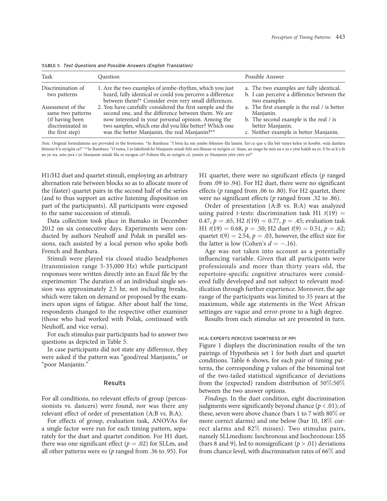| Task                                                                                              | Question                                                                                                                                                                                                                                                                         | Possible Answer                                                                                                                                                   |
|---------------------------------------------------------------------------------------------------|----------------------------------------------------------------------------------------------------------------------------------------------------------------------------------------------------------------------------------------------------------------------------------|-------------------------------------------------------------------------------------------------------------------------------------------------------------------|
| Discrimination of<br>two patterns                                                                 | 1. Are the two examples of jembe-rhythm, which you just<br>heard, fully identical or could you perceive a difference<br>between them?* Consider even very small differences.                                                                                                     | a. The two examples are fully identical.<br>b. I can perceive a difference between the<br>two examples.                                                           |
| Assessment of the<br>same two patterns<br>(if having been)<br>discriminated in<br>the first step) | 2. You have carefully considered the first sample and the<br>second one, and the difference between them. We are<br>now interested in your personal opinion. Among the<br>two samples, which one did you like better? Which one<br>was the better Manjanin, the real Manjanin?** | a. The first example is the real / is better<br>Manjanin.<br>b. The second example is the real / is<br>better Manjanin.<br>c. Neither example is better Manjanin. |

TABLE 5. Test Questions and Possible Answers (English Translation)

Note. Original formulations are provided in the footnotes. \*In Bambara: "I bòra ka nin jembe fòlisenw fila lamèn. Est-ce que u fila bèè tunye kelen ye kosèbè, wala danfara fitinnin b'u nyògòn ce?" \*\*In Bambara: "O tuma, I ye lakòlòsili kè Manjanin misali fòlò ani filanan ni nyògòn ce. Sisan, an mago be min na o ye e yèrè hakili na ye. E be se k'a fò an ye wa, min jara i ye Manjanin misali fila ni nyogon cè? Folisen fila ni nyògòn cè, jumèn ye Manjanin yèrè-yèrè ye?"

H1/H2 duet and quartet stimuli, employing an arbitrary alternation rate between blocks so as to allocate more of the (faster) quartet pairs in the second half of the series (and to thus support an active listening disposition on part of the participants). All participants were exposed to the same succession of stimuli.

Data collection took place in Bamako in December 2012 on six consecutive days. Experiments were conducted by authors Neuhoff and Polak in parallel sessions, each assisted by a local person who spoke both French and Bambara.

Stimuli were played via closed studio headphones (transmission range 5-35,000 Hz) while participant responses were written directly into an Excel file by the experimenter. The duration of an individual single session was approximately 2.5 hr, not including breaks, which were taken on demand or proposed by the examiners upon signs of fatigue. After about half the time, respondents changed to the respective other examiner (those who had worked with Polak, continued with Neuhoff, and vice versa).

For each stimulus pair participants had to answer two questions as depicted in Table 5.

In case participants did not state any difference, they were asked if the pattern was ''good/real Manjanin,'' or ''poor Manjanin.''

# Results

For all conditions, no relevant effects of group (percussionists vs. dancers) were found, nor was there any relevant effect of order of presentation (A:B vs. B:A).

For effects of group, evaluation task, ANOVAs for a single factor were run for each timing pattern, separately for the duet and quartet condition. For H1 duet, there was one significant effect ( $p = .02$ ) for SLLm, and all other patterns were ns (p ranged from .36 to .95). For H1 quartet, there were no significant effects  $(p \text{ ranged})$ from .09 to .94). For H2 duet, there were no significant effects ( $p$  ranged from .06 to .80). For H2 quartet, there were no significant effects ( $p$  ranged from .32 to .86).

Order of presentation (A:B vs. B:A) was analyzed using paired *t*-tests: discrimination task H1  $t(19)$  = 0.47,  $p = .65$ , H2  $t(19) = 0.77$ ,  $p = .45$ ; evaluation task H1  $t(19) = 0.68$ ,  $p = .50$ ; H2 duet  $t(9) = 0.51$ ,  $p = .62$ ; quartet  $t(9) = 2.54$ ,  $p = .03$ , however, the effect size for the latter is low (Cohen's  $d = -.16$ ).

Age was not taken into account as a potentially influencing variable. Given that all participants were professionals and more than thirty years old, the repertoire-specific cognitive structures were considered fully developed and not subject to relevant modification through further experience. Moreover, the age range of the participants was limited to 35 years at the maximum, while age statements in the West African settinges are vague and error-prone to a high degree.

Results from each stimulus set are presented in turn.

#### H1.A: EXPERTS PERCEIVE SHORTNESS OF PP1

Figure 1 displays the discrimination results of the ten pairings of Hypothesis set 1 for both duet and quartet conditions. Table 6 shows, for each pair of timing patterns, the corresponding  $p$  values of the binominal test of the two-tailed statistical significance of deviations from the (expected) random distribution of  $50\%$ :50% between the two answer options.

Findings. In the duet condition, eight discrimination judgments were significantly beyond chance ( $p < .01$ ); of these, seven were above chance (bars 1 to 7 with 80% or more correct alarms) and one below (bar 10, 18% correct alarms and 82% misses). Two stimulus pairs, namely SLLmedium: Isochronous and Isochronous: LSS (bars 8 and 9), led to nonsignificant ( $p > .01$ ) deviations from chance level, with discrimination rates of 66% and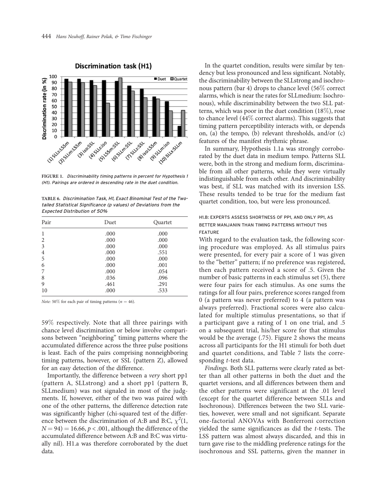

FIGURE 1. Discriminability timing patterns in percent for Hypothesis <sup>1</sup> (H1). Pairings are ordered in descending rate in the duet condition.

TABLE 6. Discrimination Task, H1, Exact Binominal Test of the Twotailed Statistical Significance (p values) of Deviations from the Expected Distribution of 50%

| Pair           | Duet | Quartet |
|----------------|------|---------|
| 1              | .000 | .000    |
| 2              | .000 | .000    |
| 3              | .000 | .000    |
| $\overline{4}$ | .000 | .551    |
| 5              | .000 | .000    |
| 6              | .000 | .001    |
| 7              | .000 | .054    |
| 8              | .036 | .096    |
| 9              | .461 | .291    |
| 10             | .000 | .533    |

Note: 50% for each pair of timing patterns ( $n = 46$ ).

59% respectively. Note that all three pairings with chance level discrimination or below involve comparisons between "neighboring" timing patterns where the accumulated difference across the three pulse positions is least. Each of the pairs comprising nonneighboring timing patterns, however, or SSL (pattern Z), allowed for an easy detection of the difference.

Importantly, the difference between a very short pp1 (pattern A, SLLstrong) and a short pp1 (pattern B, SLLmedium) was not signaled in most of the judgments. If, however, either of the two was paired with one of the other patterns, the difference detection rate was significantly higher (chi-squared test of the difference between the discrimination of A:B and B:C,  $\chi^2(1,$  $N = 94$ ) = 16.66, p < .001, although the difference of the accumulated difference between A:B and B:C was virtually nil). H1.a was therefore corroborated by the duet data.

In the quartet condition, results were similar by tendency but less pronounced and less significant. Notably, the discriminability between the SLLstrong and isochronous pattern (bar 4) drops to chance level (56% correct alarms, which is near the rates for SLLmedium: Isochronous), while discriminability between the two SLL patterns, which was poor in the duet condition (18%), rose to chance level (44% correct alarms). This suggests that timing pattern perceptibility interacts with, or depends on, (a) the tempo, (b) relevant thresholds, and/or (c) features of the manifest rhythmic phrase.

In summary, Hypothesis 1.1a was strongly corroborated by the duet data in medium tempo. Patterns SLL were, both in the strong and medium form, discriminable from all other patterns, while they were virtually indistinguishable from each other. And discriminability was best, if SLL was matched with its inversion LSS. These results tended to be true for the medium fast quartet condition, too, but were less pronounced.

# H1.B: EXPERTS ASSESS SHORTNESS OF PP1, AND ONLY PP1, AS BETTER MANJANIN THAN TIMING PATTERNS WITHOUT THIS FEATURE

With regard to the evaluation task, the following scoring procedure was employed. As all stimulus pairs were presented, for every pair a score of 1 was given to the ''better'' pattern; if no preference was registered, then each pattern received a score of .5. Given the number of basic patterns in each stimulus set (5), there were four pairs for each stimulus. As one sums the ratings for all four pairs, preference scores ranged from 0 (a pattern was never preferred) to 4 (a pattern was always preferred). Fractional scores were also calculated for multiple stimulus presentations, so that if a participant gave a rating of 1 on one trial, and .5 on a subsequent trial, his/her score for that stimulus would be the average (.75). Figure 2 shows the means across all participants for the H1 stimuli for both duet and quartet conditions, and Table 7 lists the corresponding t-test data.

Findings. Both SLL patterns were clearly rated as better than all other patterns in both the duet and the quartet versions, and all differences between them and the other patterns were significant at the .01 level (except for the quartet difference between SLLs and Isochronous). Differences between the two SLL varieties, however, were small and not significant. Separate one-factorial ANOVAs with Bonferroni correction yielded the same significances as did the t-tests. The LSS pattern was almost always discarded, and this in turn gave rise to the middling preference ratings for the isochronous and SSL patterns, given the manner in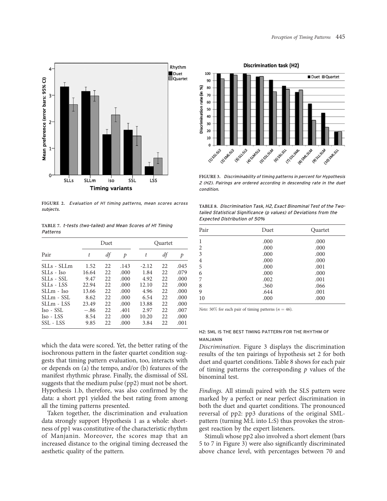

FIGURE 2. Evaluation of H1 timing patterns, mean scores across subjects.

TABLE 7. t-tests (two-tailed) and Mean Scores of H1 Timing Patterns

|              |        | Duet |      |         | Ouartet |      |  |
|--------------|--------|------|------|---------|---------|------|--|
| Pair         | t      | dt   | p    | t       | df      | р    |  |
| SLLs - SLLm  | 1.52   | 22   | .143 | $-2.12$ | 22      | .045 |  |
| $SLLs - Iso$ | 16.64  | 22   | .000 | 1.84    | 22      | .079 |  |
| SLLs - SSL   | 9.47   | 22   | .000 | 4.92    | 22.     | .000 |  |
| SLLs - LSS   | 22.94  | 22   | .000 | 12.10   | 22      | .000 |  |
| $SLLm - Iso$ | 13.66  | 22   | .000 | 4.96    | 22      | .000 |  |
| SLLm - SSL   | 8.62   | 22   | .000 | 6.54    | 22.     | .000 |  |
| SLLm - LSS   | 23.49  | 22   | .000 | 13.88   | 22.     | .000 |  |
| $Iso - SSL$  | $-.86$ | 22   | .401 | 2.97    | 22      | .007 |  |
| $Iso - LSS$  | 8.54   | 22   | .000 | 10.20   | 22      | .000 |  |
| SSL - LSS    | 9.85   | 22.  | .000 | 3.84    | 22.     | .001 |  |

which the data were scored. Yet, the better rating of the isochronous pattern in the faster quartet condition suggests that timing pattern evaluation, too, interacts with or depends on (a) the tempo, and/or (b) features of the manifest rhythmic phrase. Finally, the dismissal of SSL suggests that the medium pulse (pp2) must not be short. Hypothesis 1.b, therefore, was also confirmed by the data: a short pp1 yielded the best rating from among all the timing patterns presented.

Taken together, the discrimination and evaluation data strongly support Hypothesis 1 as a whole: shortness of pp1 was constitutive of the characteristic rhythm of Manjanin. Moreover, the scores map that an increased distance to the original timing decreased the aesthetic quality of the pattern.

**Discrimination task (H2)** 100 Duet **Quartet**  $\alpha$  $70$ 60 50 40

 $90$ 



FIGURE 3. Discriminability of timing patterns in percent for Hypothesis 2 (H2). Pairings are ordered according in descending rate in the duet condition.

TABLE 8. Discrimination Task, H2, Exact Binominal Test of the Twotailed Statistical Significance (p values) of Deviations from the Expected Distribution of 50%

| Pair | Duet | Quartet |
|------|------|---------|
|      | .000 | .000    |
| 2    | .000 | .000    |
| 3    | .000 | .000    |
| 4    | .000 | .000    |
| 5    | .000 | .001    |
| 6    | .000 | .000    |
| 7    | .002 | .001    |
| 8    | .360 | .066    |
| 9    | .644 | .001    |
| 10   | .000 | .000    |

*Note:* 50% for each pair of timing patterns ( $n = 46$ ).

## H2: SML IS THE BEST TIMING PATTERN FOR THE RHYTHM OF MANJANIN

Discrimination. Figure 3 displays the discrimination results of the ten pairings of hypothesis set 2 for both duet and quartet conditions. Table 8 shows for each pair of timing patterns the corresponding  $p$  values of the binominal test.

Findings. All stimuli paired with the SLS pattern were marked by a perfect or near perfect discrimination in both the duet and quartet conditions. The pronounced reversal of pp2: pp3 durations of the original SMLpattern (turning M:L into L:S) thus provokes the strongest reaction by the expert listeners.

Stimuli whose pp2 also involved a short element (bars 5 to 7 in Figure 3) were also significantly discriminated above chance level, with percentages between 70 and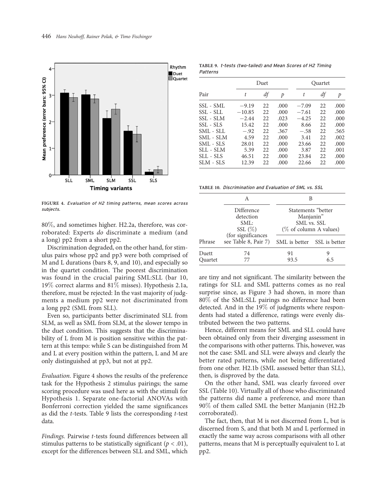

FIGURE 4. Evaluation of H2 timing patterns, mean scores across subjects.

80%, and sometimes higher. H2.2a, therefore, was corroborated: Experts do discriminate a medium (and a long) pp2 from a short pp2.

Discrimination degraded, on the other hand, for stimulus pairs whose pp2 and pp3 were both comprised of M and L durations (bars 8, 9, and 10), and especially so in the quartet condition. The poorest discrimination was found in the crucial pairing SML:SLL (bar 10, 19% correct alarms and 81% misses). Hypothesis 2.1a, therefore, must be rejected: In the vast majority of judgments a medium pp2 were not discriminated from a long pp2 (SML from SLL).

Even so, participants better discriminated SLL from SLM, as well as SML from SLM, at the slower tempo in the duet condition. This suggests that the discriminability of L from M is position sensitive within the pattern at this tempo: while S can be distinguished from M and L at every position within the pattern, L and M are only distinguished at pp3, but not at pp2.

Evaluation. Figure 4 shows the results of the preference task for the Hypothesis 2 stimulus pairings; the same scoring procedure was used here as with the stimuli for Hypothesis 1. Separate one-factorial ANOVAs with Bonferroni correction yielded the same significances as did the t-tests. Table 9 lists the corresponding t-test data.

Findings. Pairwise t-tests found differences between all stimulus patterns to be statistically significant ( $p < .01$ ), except for the differences between SLL and SML, which

TABLE 9. t-tests (two-tailed) and Mean Scores of H2 Timing Patterns

|             |          | Duet |      |         | Ouartet |      |
|-------------|----------|------|------|---------|---------|------|
| Pair        | t        | df   | p    | t       | df      | р    |
| SSL - SML   | $-9.19$  | 22   | .000 | $-7.09$ | 22      | .000 |
| SSL - SLL   | $-10.85$ | 22   | .000 | $-7.61$ | 22      | .000 |
| SSL - SLM   | $-2.44$  | 22   | .023 | $-4.25$ | 22      | .000 |
| $SSL - SLS$ | 15.42    | 22   | .000 | 8.66    | 22      | .000 |
| SML - SLL   | $-.92$   | 22   | .367 | $-.58$  | 22      | .565 |
| SML - SLM   | 4.59     | 22   | .000 | 3.41    | 22      | .002 |
| SML - SLS   | 28.01    | 22   | .000 | 23.66   | 22      | .000 |
| SLL - SLM   | 5.39     | 22   | .000 | 3.87    | 22      | .001 |
| SLL - SLS   | 46.51    | 22   | .000 | 23.84   | 22      | .000 |
| SLM - SLS   | 12.39    | 22   | .000 | 22.66   | 22      | .000 |

TABLE 10. Discrimination and Evaluation of SML vs. SSL

|                  | Difference<br>detection<br>SML:<br>SSL $(\%)$ | Statements "better<br>Manjanin"<br>SML vs. SSL<br>$(\%$ of column A values) |         |  |  |
|------------------|-----------------------------------------------|-----------------------------------------------------------------------------|---------|--|--|
| Phrase           | (for significances<br>see Table 8, Pair 7)    | SML is better SSL is better                                                 |         |  |  |
| Duett<br>Quartet | 74<br>77                                      | 91<br>93.5                                                                  | 9<br>65 |  |  |

are tiny and not significant. The similarity between the ratings for SLL and SML patterns comes as no real surprise since, as Figure 3 had shown, in more than 80% of the SML:SLL pairings no difference had been detected. And in the 19% of judgments where respondents had stated a difference, ratings were evenly distributed between the two patterns.

Hence, different means for SML and SLL could have been obtained only from their diverging assessment in the comparisons with other patterns. This, however, was not the case: SML and SLL were always and clearly the better rated patterns, while not being differentiated from one other. H2.1b (SML assessed better than SLL), then, is disproved by the data.

On the other hand, SML was clearly favored over SSL (Table 10). Virtually all of those who discriminated the patterns did name a preference, and more than 90% of them called SML the better Manjanin (H2.2b corroborated).

The fact, then, that M is not discerned from L, but is discerned from S, and that both M and L performed in exactly the same way across comparisons with all other patterns, means that M is perceptually equivalent to L at pp2.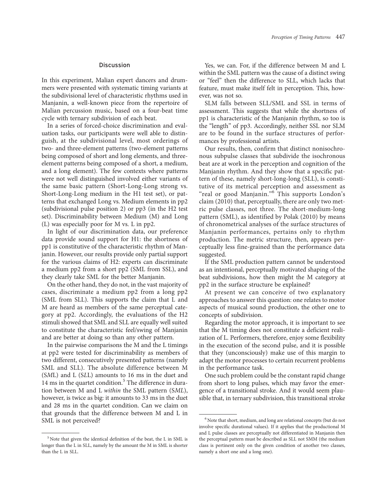## Discussion

In this experiment, Malian expert dancers and drummers were presented with systematic timing variants at the subdivisional level of characteristic rhythms used in Manjanin, a well-known piece from the repertoire of Malian percussion music, based on a four-beat time cycle with ternary subdivision of each beat.

In a series of forced-choice discrimination and evaluation tasks, our participants were well able to distinguish, at the subdivisional level, most orderings of two- and three-element patterns (two-element patterns being composed of short and long elements, and threeelement patterns being composed of a short, a medium, and a long element). The few contexts where patterns were not well distinguished involved either variants of the same basic pattern (Short-Long-Long strong vs. Short-Long-Long medium in the H1 test set), or patterns that exchanged Long vs. Medium elements in pp2 (subdivisional pulse position 2) or pp3 (in the H2 test set). Discriminability between Medium (M) and Long (L) was especially poor for M vs. L in pp2.

In light of our discrimination data, our preference data provide sound support for H1: the shortness of pp1 is constitutive of the characteristic rhythm of Manjanin. However, our results provide only partial support for the various claims of H2: experts can discriminate a medium pp2 from a short pp2 (SML from SSL), and they clearly take SML for the better Manjanin.

On the other hand, they do not, in the vast majority of cases, discriminate a medium pp2 from a long pp2 (SML from SLL). This supports the claim that L and M are heard as members of the same perceptual category at pp2. Accordingly, the evaluations of the H2 stimuli showed that SML and SLL are equally well suited to constitute the characteristic feel/swing of Manjanin and are better at doing so than any other pattern.

In the pairwise comparisons the M and the L timings at pp2 were tested for discriminability as members of two different, consecutively presented patterns (namely SML and SLL). The absolute difference between M (SML) and L (SLL) amounts to 16 ms in the duet and 14 ms in the quartet condition.<sup>5</sup> The difference in duration between M and L within the SML pattern (SML), however, is twice as big: it amounts to 33 ms in the duet and 28 ms in the quartet condition. Can we claim on that grounds that the difference between M and L in SML is not perceived?

Yes, we can. For, if the difference between M and L within the SML pattern was the cause of a distinct swing or "feel" then the difference to SLL, which lacks that feature, must make itself felt in perception. This, however, was not so.

SLM falls between SLL/SML and SSL in terms of assessment. This suggests that while the shortness of pp1 is characteristic of the Manjanin rhythm, so too is the ''length'' of pp3. Accordingly, neither SSL nor SLM are to be found in the surface structures of performances by professional artists.

Our results, then, confirm that distinct nonisochronous subpulse classes that subdivide the isochronous beat are at work in the perception and cognition of the Manjanin rhythm. And they show that a specific pattern of these, namely short-long-long (SLL), is constitutive of its metrical perception and assessment as "real or good Manjanin."<sup>6</sup> This supports London's claim (2010) that, perceptually, there are only two metric pulse classes, not three. The short-medium-long pattern (SML), as identified by Polak (2010) by means of chronometrical analyses of the surface structures of Manjanin performances, pertains only to rhythm production. The metric structure, then, appears perceptually less fine-grained than the performance data suggested.

If the SML production pattern cannot be understood as an intentional, perceptually motivated shaping of the beat subdivisions, how then might the M category at pp2 in the surface structure be explained?

At present we can conceive of two explanatory approaches to answer this question: one relates to motor aspects of musical sound production, the other one to concepts of subdivision.

Regarding the motor approach, it is important to see that the M timing does not constitute a deficient realization of L. Performers, therefore, enjoy some flexibility in the execution of the second pulse, and it is possible that they (unconsciously) make use of this margin to adapt the motor processes to certain recurrent problems in the performance task.

One such problem could be the constant rapid change from short to long pulses, which may favor the emergence of a transitional stroke. And it would seem plausible that, in ternary subdivision, this transitional stroke

<sup>5</sup> Note that given the identical definition of the beat, the L in SML is longer than the L in SLL, namely by the amount the M in SML is shorter than the L in SLL.

 $6$  Note that short, medium, and long are relational concepts (but do not involve specific durational values). If it applies that the productional M and L pulse classes are perceptually not differentiated in Manjanin then the perceptual pattern must be described as SLL not SMM (the medium class is pertinent only on the given condition of another two classes, namely a short one and a long one).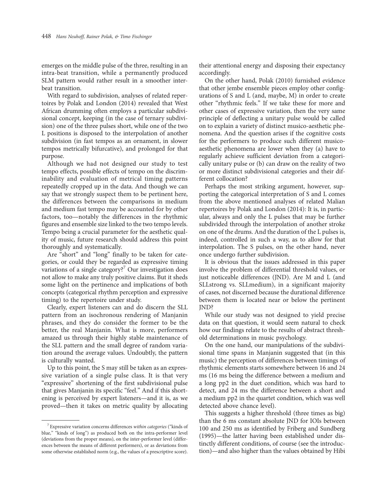emerges on the middle pulse of the three, resulting in an intra-beat transition, while a permanently produced SLM pattern would rather result in a smoother interbeat transition.

With regard to subdivision, analyses of related repertoires by Polak and London (2014) revealed that West African drumming often employs a particular subdivisional concept, keeping (in the case of ternary subdivision) one of the three pulses short, while one of the two L positions is disposed to the interpolation of another subdivision (in fast tempos as an ornament, in slower tempos metrically bifurcative), and prolonged for that purpose.

Although we had not designed our study to test tempo effects, possible effects of tempo on the discriminability and evaluation of metrical timing patterns repeatedly cropped up in the data. And though we can say that we strongly suspect them to be pertinent here, the differences between the comparisons in medium and medium fast tempo may be accounted for by other factors, too—notably the differences in the rhythmic figures and ensemble size linked to the two tempo levels. Tempo being a crucial parameter for the aesthetic quality of music, future research should address this point thoroughly and systematically.

Are "short" and "long" finally to be taken for categories, or could they be regarded as expressive timing variations of a single category?<sup>7</sup> Our investigation does not allow to make any truly positive claims. But it sheds some light on the pertinence and implications of both concepts (categorical rhythm perception and expressive timing) to the repertoire under study.

Clearly, expert listeners can and do discern the SLL pattern from an isochronous rendering of Manjanin phrases, and they do consider the former to be the better, the real Manjanin. What is more, performers amazed us through their highly stable maintenance of the SLL pattern and the small degree of random variation around the average values. Undoubtly, the pattern is culturally wanted.

Up to this point, the S may still be taken as an expressive variation of a single pulse class. It is that very "expressive" shortening of the first subdivisional pulse that gives Manjanin its specific "feel." And if this shortening is perceived by expert listeners—and it is, as we proved—then it takes on metric quality by allocating their attentional energy and disposing their expectancy accordingly.

On the other hand, Polak (2010) furnished evidence that other jembe ensemble pieces employ other configurations of S and L (and, maybe, M) in order to create other ''rhythmic feels.'' If we take these for more and other cases of expressive variation, then the very same principle of deflecting a unitary pulse would be called on to explain a variety of distinct musico-aesthetic phenomena. And the question arises if the cognitive costs for the performers to produce such different musicoaesthetic phenomena are lower when they (a) have to regularly achieve sufficient deviation from a categorically unitary pulse or (b) can draw on the reality of two or more distinct subdivisional categories and their different collocation?

Perhaps the most striking argument, however, supporting the categorical interpretation of S and L comes from the above mentioned analyses of related Malian repertoires by Polak and London (2014): It is, in particular, always and only the L pulses that may be further subdivided through the interpolation of another stroke on one of the drums. And the duration of the L pulses is, indeed, controlled in such a way, as to allow for that interpolation. The S pulses, on the other hand, never once undergo further subdivision.

It is obvious that the issues addressed in this paper involve the problem of differential threshold values, or just noticeable differences (JND). Are M and L (and SLLstrong vs. SLLmedium), in a significant majority of cases, not discerned because the durational difference between them is located near or below the pertinent JND?

While our study was not designed to yield precise data on that question, it would seem natural to check how our findings relate to the results of abstract threshold determinations in music psychology.

On the one hand, our manipulations of the subdivisional time spans in Manjanin suggested that (in this music) the perception of differences between timings of rhythmic elements starts somewhere between 16 and 24 ms (16 ms being the difference between a medium and a long pp2 in the duet condition, which was hard to detect, and 24 ms the difference between a short and a medium pp2 in the quartet condition, which was well detected above chance level).

This suggests a higher threshold (three times as big) than the 6 ms constant absolute JND for IOIs between 100 and 250 ms as identified by Friberg and Sundberg (1995)—the latter having been established under distinctly different conditions, of course (see the introduction)—and also higher than the values obtained by Hibi

 $7$  Expressive variation concerns differences within categories ("kinds of blue," "kinds of long") as produced both on the intra-performer level (deviations from the proper means), on the inter-performer level (differences between the means of different performers), or as deviations from some otherwise established norm (e.g., the values of a prescriptive score).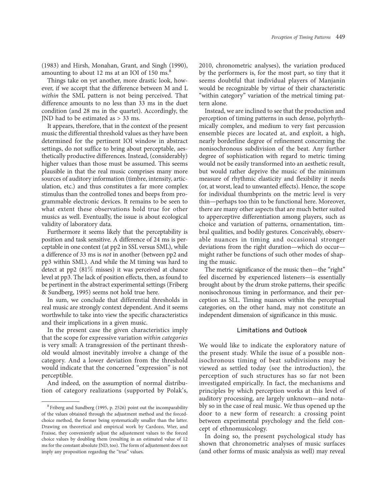(1983) and Hirsh, Monahan, Grant, and Singh (1990), amounting to about 12 ms at an IOI of 150 ms.<sup>8</sup>

Things take on yet another, more drastic look, however, if we accept that the difference between M and L within the SML pattern is not being perceived. That difference amounts to no less than 33 ms in the duet condition (and 28 ms in the quartet). Accordingly, the JND had to be estimated as > 33 ms.

It appears, therefore, that in the context of the present music the differential threshold values as they have been determined for the pertinent IOI window in abstract settings, do not suffice to bring about perceptable, aesthetically productive differences. Instead, (considerably) higher values than those must be assumed. This seems plausible in that the real music comprises many more sources of auditory information (timbre, intensity, articulation, etc.) and thus constitutes a far more complex stimulus than the controlled tones and beeps from programmable electronic devices. It remains to be seen to what extent these observations hold true for other musics as well. Eventually, the issue is about ecological validity of laboratory data.

Furthermore it seems likely that the perceptability is position and task sensitive. A difference of 24 ms is perceptable in one context (at pp2 in SSL versus SML), while a difference of 33 ms is not in another (between pp2 and pp3 within SML). And while the M timing was hard to detect at pp2 (81% misses) it was perceived at chance level at pp3. The lack of position effects, then, as found to be pertinent in the abstract experimental settings (Friberg & Sundberg, 1995) seems not hold true here.

In sum, we conclude that differential thresholds in real music are strongly context dependent. And it seems worthwhile to take into view the specific characteristics and their implications in a given music.

In the present case the given characteristics imply that the scope for expressive variation within categories is very small: A transgression of the pertinant threshold would almost inevitably involve a change of the category. And a lower deviation from the threshold would indicate that the concerned "expression" is not perceptible.

And indeed, on the assumption of normal distribution of category realizations (supported by Polak's, 2010, chronometric analyses), the variation produced by the performers is, for the most part, so tiny that it seems doubtful that individual players of Manjanin would be recognizable by virtue of their characteristic ''within category'' variation of the metrical timing pattern alone.

Instead, we are inclined to see that the production and perception of timing patterns in such dense, polyrhythmically complex, and medium to very fast percussion ensemble pieces are located at, and exploit, a high, nearly borderline degree of refinement concerning the nonisochronous subdivision of the beat. Any further degree of sophistication with regard to metric timing would not be easily transformed into an aesthetic result, but would rather deprive the music of the minimum measure of rhythmic elasticity and flexibility it needs (or, at worst, lead to unwanted effects). Hence, the scope for individual thumbprints on the metric level is very thin—perhaps too thin to be functional here. Moreover, there are many other aspects that are much better suited to apperceptive differentiation among players, such as choice and variation of patterns, ornamentation, timbral qualities, and bodily gestures. Conceivably, observable nuances in timing and occasional stronger deviations from the right duration—which do occur might rather be functions of such other modes of shaping the music.

The metric significance of the music then—the "right" feel discerned by experienced listeners—is essentially brought about by the drum stroke patterns, their specific nonisochronous timing in performance, and their perception as SLL. Timing nuances within the perceptual categories, on the other hand, may not constitute an independent dimension of significance in this music.

# Limitations and Outlook

We would like to indicate the exploratory nature of the present study. While the issue of a possible nonisochronous timing of beat subdivisions may be viewed as settled today (see the introduction), the perception of such structures has so far not been investigated empirically. In fact, the mechanisms and principles by which perception works at this level of auditory processing, are largely unknown—and notably so in the case of real music. We thus opened up the door to a new form of research: a crossing point between experimental psychology and the field concept of ethnomusicology.

In doing so, the present psychological study has shown that chronometric analyses of music surfaces (and other forms of music analysis as well) may reveal

<sup>8</sup> Friberg and Sundberg (1995, p. 2526) point out the incomparability of the values obtained through the adjustment method and the forcedchoice method, the former being systematically smaller than the latter. Drawing on theoretical and empirical work by Cardozo, Wier, and Fraisse, they conveniently adjust the adjustement values to the forced choice values by doubling them (resulting in an estimated value of 12 ms for the constant absolute JND, too). The form of adjustement does not imply any proposition regarding the "true" values.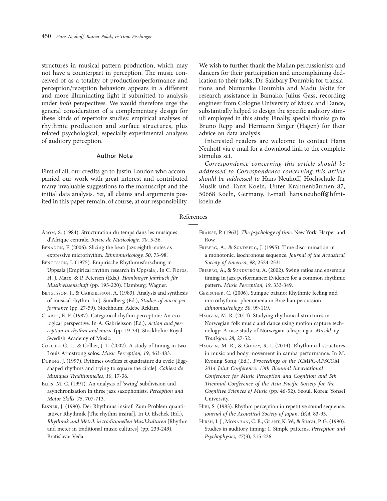structures in musical pattern production, which may not have a counterpart in perception. The music conceived of as a totality of production/performance and perception/reception behaviors appears in a different and more illuminating light if submitted to analysis under both perspectives. We would therefore urge the general consideration of a complementary design for these kinds of repertoire studies: empirical analyses of rhythmic production and surface structures, plus related psychological, especially experimental analyses of auditory perception.

# Author Note

First of all, our credits go to Justin London who accompanied our work with great interest and contributed many invaluable suggestions to the manuscript and the initial data analysis. Yet, all claims and arguments posited in this paper remain, of course, at our responsibility. We wish to further thank the Malian percussionists and dancers for their participation and uncomplaining dedication to their tasks, Dr. Salabary Doumbia for translations and Numunke Doumbia and Madu Jakite for research assistance in Bamako. Julius Gass, recording engineer from Cologne University of Music and Dance, substantially helped to design the specific auditory stimuli employed in this study. Finally, special thanks go to Bruno Repp and Hermann Singer (Hagen) for their advice on data analysis.

Interested readers are welcome to contact Hans Neuhoff via e-mail for a download link to the complete stimulus set.

Correspondence concerning this article should be addressed to Correspondence concerning this article should be addressed to Hans Neuhoff, Hochschule für Musik und Tanz Koeln, Unter Krahnenbäumen 87, 50668 Koeln, Germany. E-mail: hans.neuhoff@hfmtkoeln.de

## References

- AROM, S. (1984). Structuration du temps dans les musiques d'Afrique centrale. Revue de Musicologie, 70, 5-36.
- BENADON, F. (2006). Slicing the beat: Jazz eighth-notes as expressive microrhythm. Ethnomusicology, 50, 73-98.
- BENGTSSON, I. (1975). Empirische Rhythmusforschung in Uppsala [Empirical rhythm research in Uppsala]. In C. Floros, H. J. Marx, & P. Petersen (Eds.), Hamburger Jahrbuch für Musikwissenschaft (pp. 195-220). Hamburg: Wagner.
- BENGTSSON, I., & GABRIELSSON, A. (1983). Analysis and synthesis of musical rhythm. In J. Sundberg (Ed.), Studies of music performance (pp. 27-59). Stockholm: Adebe Reklam.
- CLARKE, E. F. (1987). Categorical rhythm perception: An ecological perspective. In A. Gabrielsson (Ed.), Action and perception in rhythm and music (pp. 19-34). Stockholm: Royal Swedish Academy of Music.
- COLLIER, G. L., & Collier, J. L. (2002). A study of timing in two Louis Armstrong solos. Music Perception, 19, 463-483.
- DURING, J. (1997). Rythmes ovoïdes et quadrature du cycle [Eggshaped rhythms and trying to square the circle]. Cahiers de Musiques Traditionnelles, 10, 17-36.
- ELLIS, M. C. (1991). An analysis of 'swing' subdivision and asynchronization in three jazz saxophonists. Perception and Motor Skills, 75, 707-713.
- ELSNER, J. (1990). Der Rhythmus insiraf: Zum Problem quantitativer Rhythmik [The rhythm insiraf]. In O. Elschek (Ed.), Rhythmik und Metrik in traditionellen Musikkulturen [Rhythm and meter in traditional music cultures] (pp. 239-249). Bratislava: Veda.

FRAISSE, P. (1963). The psychology of time. New York: Harper and Row.

- FRIBERG, A., & SUNDBERG, J. (1995). Time discrimination in a monotonic, isochronous sequence. Journal of the Acoustical Society of America, 98, 2524-2531.
- FRIBERG, A., & SUNDSTRÖM, A. (2002). Swing ratios and ensemble timing in jazz performance: Evidence for a common rhythmic pattern. Music Perception, 19, 333-349.
- GERISCHER, C. (2006). Suingue baiano: Rhythmic feeling and microrhythmic phenomena in Brazilian percussion. Ethnomusicology, 50, 99-119.
- HAUGEN, M. R. (2014). Studying rhythmical structures in Norwegian folk music and dance using motion capture technology: A case study of Norwegian telespringar. Musikk og Tradisjon, 28, 27-52.
- HAUGEN, M. R., & GODØY, R. I. (2014). Rhythmical structures in music and body movement in samba performance. In M. Kyoung Song (Ed.), Proceedings of the ICMPC-APSCOM 2014 Joint Conference: 13th Biennial International Conference for Music Perception and Cognition and 5th Triennial Conference of the Asia Pacific Society for the Cognitive Sciences of Music (pp. 46-52). Seoul, Korea: Yonsei University.
- HIBI, S. (1983). Rhythm perception in repetitive sound sequence. Journal of the Acoustical Society of Japan, (E)4, 83-95.
- HIRSH, I. J., MONAHAN, C. B., GRANT, K. W., & SINGH, P. G. (1990). Studies in auditory timing: 1. Simple patterns. Perception and Psychophysics, 47(3), 215-226.